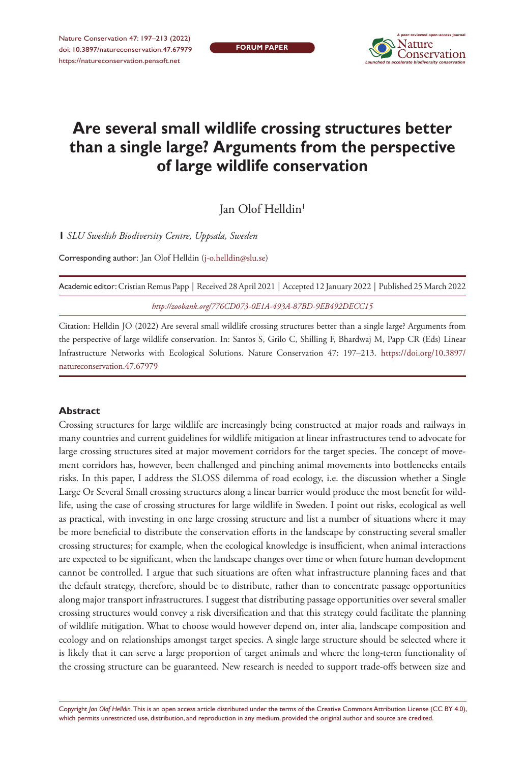**FORUM PAPER**



# **Are several small wildlife crossing structures better than a single large? Arguments from the perspective of large wildlife conservation**

Jan Olof Helldin<sup>1</sup>

**1** *SLU Swedish Biodiversity Centre, Uppsala, Sweden*

Corresponding author: Jan Olof Helldin [\(j-o.helldin@slu.se\)](mailto:j-o.helldin@slu.se)

Academic editor: Cristian Remus Papp | Received 28 April 2021 | Accepted 12 January 2022 | Published 25 March 2022 *<http://zoobank.org/776CD073-0E1A-493A-87BD-9EB492DECC15>*

Citation: Helldin JO (2022) Are several small wildlife crossing structures better than a single large? Arguments from the perspective of large wildlife conservation. In: Santos S, Grilo C, Shilling F, Bhardwaj M, Papp CR (Eds) Linear Infrastructure Networks with Ecological Solutions. Nature Conservation 47: 197–213. [https://doi.org/10.3897/](https://doi.org/10.3897/natureconservation.47.67979) [natureconservation.47.67979](https://doi.org/10.3897/natureconservation.47.67979)

#### **Abstract**

Crossing structures for large wildlife are increasingly being constructed at major roads and railways in many countries and current guidelines for wildlife mitigation at linear infrastructures tend to advocate for large crossing structures sited at major movement corridors for the target species. The concept of movement corridors has, however, been challenged and pinching animal movements into bottlenecks entails risks. In this paper, I address the SLOSS dilemma of road ecology, i.e. the discussion whether a Single Large Or Several Small crossing structures along a linear barrier would produce the most benefit for wildlife, using the case of crossing structures for large wildlife in Sweden. I point out risks, ecological as well as practical, with investing in one large crossing structure and list a number of situations where it may be more beneficial to distribute the conservation efforts in the landscape by constructing several smaller crossing structures; for example, when the ecological knowledge is insufficient, when animal interactions are expected to be significant, when the landscape changes over time or when future human development cannot be controlled. I argue that such situations are often what infrastructure planning faces and that the default strategy, therefore, should be to distribute, rather than to concentrate passage opportunities along major transport infrastructures. I suggest that distributing passage opportunities over several smaller crossing structures would convey a risk diversification and that this strategy could facilitate the planning of wildlife mitigation. What to choose would however depend on, inter alia, landscape composition and ecology and on relationships amongst target species. A single large structure should be selected where it is likely that it can serve a large proportion of target animals and where the long-term functionality of the crossing structure can be guaranteed. New research is needed to support trade-offs between size and

Copyright *Jan Olof Helldin.* This is an open access article distributed under the terms of the [Creative Commons Attribution License \(CC BY 4.0\),](http://creativecommons.org/licenses/by/4.0/) which permits unrestricted use, distribution, and reproduction in any medium, provided the original author and source are credited.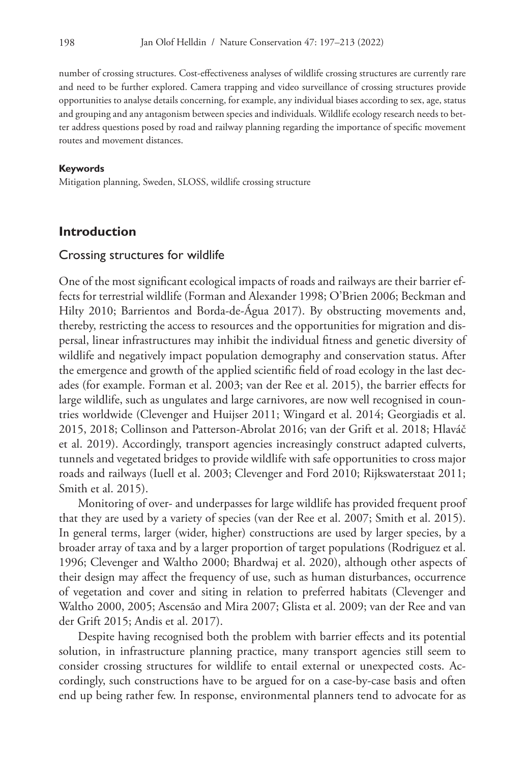number of crossing structures. Cost-effectiveness analyses of wildlife crossing structures are currently rare and need to be further explored. Camera trapping and video surveillance of crossing structures provide opportunities to analyse details concerning, for example, any individual biases according to sex, age, status and grouping and any antagonism between species and individuals. Wildlife ecology research needs to better address questions posed by road and railway planning regarding the importance of specific movement routes and movement distances.

#### **Keywords**

Mitigation planning, Sweden, SLOSS, wildlife crossing structure

# **Introduction**

#### Crossing structures for wildlife

One of the most significant ecological impacts of roads and railways are their barrier effects for terrestrial wildlife (Forman and Alexander 1998; O'Brien 2006; Beckman and Hilty 2010; Barrientos and Borda-de-Água 2017). By obstructing movements and, thereby, restricting the access to resources and the opportunities for migration and dispersal, linear infrastructures may inhibit the individual fitness and genetic diversity of wildlife and negatively impact population demography and conservation status. After the emergence and growth of the applied scientific field of road ecology in the last decades (for example. Forman et al. 2003; van der Ree et al. 2015), the barrier effects for large wildlife, such as ungulates and large carnivores, are now well recognised in countries worldwide (Clevenger and Huijser 2011; Wingard et al. 2014; Georgiadis et al. 2015, 2018; Collinson and Patterson-Abrolat 2016; van der Grift et al. 2018; Hlaváč et al. 2019). Accordingly, transport agencies increasingly construct adapted culverts, tunnels and vegetated bridges to provide wildlife with safe opportunities to cross major roads and railways (Iuell et al. 2003; Clevenger and Ford 2010; Rijkswaterstaat 2011; Smith et al. 2015).

Monitoring of over- and underpasses for large wildlife has provided frequent proof that they are used by a variety of species (van der Ree et al. 2007; Smith et al. 2015). In general terms, larger (wider, higher) constructions are used by larger species, by a broader array of taxa and by a larger proportion of target populations (Rodriguez et al. 1996; Clevenger and Waltho 2000; Bhardwaj et al. 2020), although other aspects of their design may affect the frequency of use, such as human disturbances, occurrence of vegetation and cover and siting in relation to preferred habitats (Clevenger and Waltho 2000, 2005; Ascensão and Mira 2007; Glista et al. 2009; van der Ree and van der Grift 2015; Andis et al. 2017).

Despite having recognised both the problem with barrier effects and its potential solution, in infrastructure planning practice, many transport agencies still seem to consider crossing structures for wildlife to entail external or unexpected costs. Accordingly, such constructions have to be argued for on a case-by-case basis and often end up being rather few. In response, environmental planners tend to advocate for as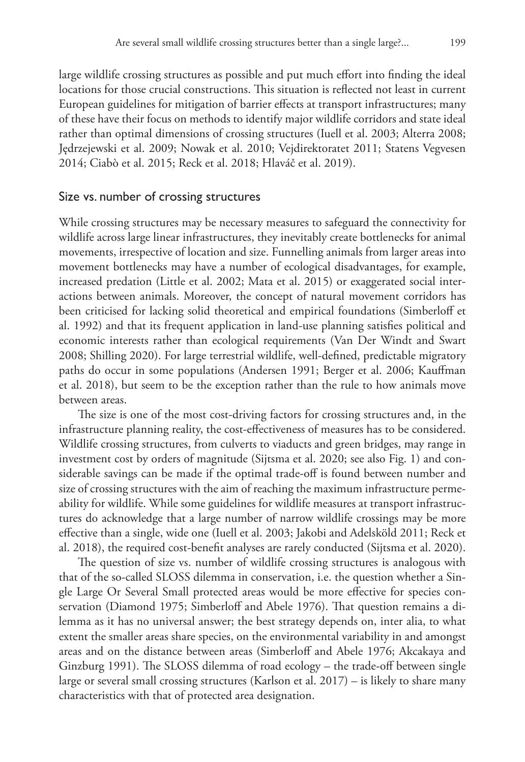large wildlife crossing structures as possible and put much effort into finding the ideal locations for those crucial constructions. This situation is reflected not least in current European guidelines for mitigation of barrier effects at transport infrastructures; many of these have their focus on methods to identify major wildlife corridors and state ideal rather than optimal dimensions of crossing structures (Iuell et al. 2003; Alterra 2008; Jędrzejewski et al. 2009; Nowak et al. 2010; Vejdirektoratet 2011; Statens Vegvesen 2014; Ciabò et al. 2015; Reck et al. 2018; Hlaváč et al. 2019).

#### Size vs. number of crossing structures

While crossing structures may be necessary measures to safeguard the connectivity for wildlife across large linear infrastructures, they inevitably create bottlenecks for animal movements, irrespective of location and size. Funnelling animals from larger areas into movement bottlenecks may have a number of ecological disadvantages, for example, increased predation (Little et al. 2002; Mata et al. 2015) or exaggerated social interactions between animals. Moreover, the concept of natural movement corridors has been criticised for lacking solid theoretical and empirical foundations (Simberloff et al. 1992) and that its frequent application in land-use planning satisfies political and economic interests rather than ecological requirements (Van Der Windt and Swart 2008; Shilling 2020). For large terrestrial wildlife, well-defined, predictable migratory paths do occur in some populations (Andersen 1991; Berger et al. 2006; Kauffman et al. 2018), but seem to be the exception rather than the rule to how animals move between areas.

The size is one of the most cost-driving factors for crossing structures and, in the infrastructure planning reality, the cost-effectiveness of measures has to be considered. Wildlife crossing structures, from culverts to viaducts and green bridges, may range in investment cost by orders of magnitude (Sijtsma et al. 2020; see also Fig. 1) and considerable savings can be made if the optimal trade-off is found between number and size of crossing structures with the aim of reaching the maximum infrastructure permeability for wildlife. While some guidelines for wildlife measures at transport infrastructures do acknowledge that a large number of narrow wildlife crossings may be more effective than a single, wide one (Iuell et al. 2003; Jakobi and Adelsköld 2011; Reck et al. 2018), the required cost-benefit analyses are rarely conducted (Sijtsma et al. 2020).

The question of size vs. number of wildlife crossing structures is analogous with that of the so-called SLOSS dilemma in conservation, i.e. the question whether a Single Large Or Several Small protected areas would be more effective for species conservation (Diamond 1975; Simberloff and Abele 1976). That question remains a dilemma as it has no universal answer; the best strategy depends on, inter alia, to what extent the smaller areas share species, on the environmental variability in and amongst areas and on the distance between areas (Simberloff and Abele 1976; Akcakaya and Ginzburg 1991). The SLOSS dilemma of road ecology – the trade-off between single large or several small crossing structures (Karlson et al. 2017) – is likely to share many characteristics with that of protected area designation.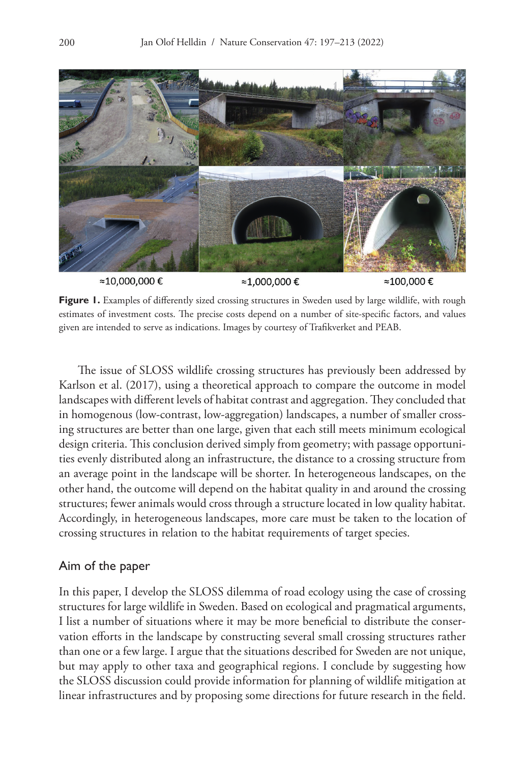

Figure 1. Examples of differently sized crossing structures in Sweden used by large wildlife, with rough estimates of investment costs. The precise costs depend on a number of site-specific factors, and values given are intended to serve as indications. Images by courtesy of Trafikverket and PEAB.

The issue of SLOSS wildlife crossing structures has previously been addressed by Karlson et al. (2017), using a theoretical approach to compare the outcome in model landscapes with different levels of habitat contrast and aggregation. They concluded that in homogenous (low-contrast, low-aggregation) landscapes, a number of smaller crossing structures are better than one large, given that each still meets minimum ecological design criteria. This conclusion derived simply from geometry; with passage opportunities evenly distributed along an infrastructure, the distance to a crossing structure from an average point in the landscape will be shorter. In heterogeneous landscapes, on the other hand, the outcome will depend on the habitat quality in and around the crossing structures; fewer animals would cross through a structure located in low quality habitat. Accordingly, in heterogeneous landscapes, more care must be taken to the location of crossing structures in relation to the habitat requirements of target species.

#### Aim of the paper

In this paper, I develop the SLOSS dilemma of road ecology using the case of crossing structures for large wildlife in Sweden. Based on ecological and pragmatical arguments, I list a number of situations where it may be more beneficial to distribute the conservation efforts in the landscape by constructing several small crossing structures rather than one or a few large. I argue that the situations described for Sweden are not unique, but may apply to other taxa and geographical regions. I conclude by suggesting how the SLOSS discussion could provide information for planning of wildlife mitigation at linear infrastructures and by proposing some directions for future research in the field.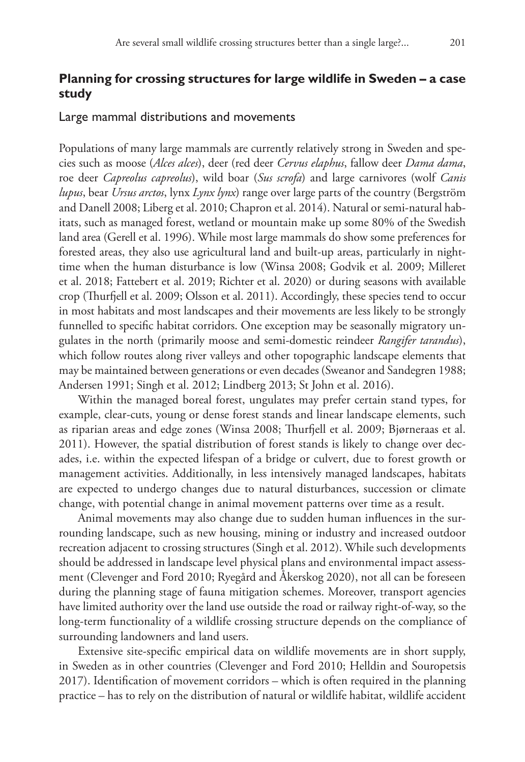# **Planning for crossing structures for large wildlife in Sweden – a case study**

#### Large mammal distributions and movements

Populations of many large mammals are currently relatively strong in Sweden and species such as moose (*Alces alces*), deer (red deer *Cervus elaphus*, fallow deer *Dama dama*, roe deer *Capreolus capreolus*), wild boar (*Sus scrofa*) and large carnivores (wolf *Canis lupus*, bear *Ursus arctos*, lynx *Lynx lynx*) range over large parts of the country (Bergström and Danell 2008; Liberg et al. 2010; Chapron et al. 2014). Natural or semi-natural habitats, such as managed forest, wetland or mountain make up some 80% of the Swedish land area (Gerell et al. 1996). While most large mammals do show some preferences for forested areas, they also use agricultural land and built-up areas, particularly in nighttime when the human disturbance is low (Winsa 2008; Godvik et al. 2009; Milleret et al. 2018; Fattebert et al. 2019; Richter et al. 2020) or during seasons with available crop (Thurfjell et al. 2009; Olsson et al. 2011). Accordingly, these species tend to occur in most habitats and most landscapes and their movements are less likely to be strongly funnelled to specific habitat corridors. One exception may be seasonally migratory ungulates in the north (primarily moose and semi-domestic reindeer *Rangifer tarandus*), which follow routes along river valleys and other topographic landscape elements that may be maintained between generations or even decades (Sweanor and Sandegren 1988; Andersen 1991; Singh et al. 2012; Lindberg 2013; St John et al. 2016).

Within the managed boreal forest, ungulates may prefer certain stand types, for example, clear-cuts, young or dense forest stands and linear landscape elements, such as riparian areas and edge zones (Winsa 2008; Thurfjell et al. 2009; Bjørneraas et al. 2011). However, the spatial distribution of forest stands is likely to change over decades, i.e. within the expected lifespan of a bridge or culvert, due to forest growth or management activities. Additionally, in less intensively managed landscapes, habitats are expected to undergo changes due to natural disturbances, succession or climate change, with potential change in animal movement patterns over time as a result.

Animal movements may also change due to sudden human influences in the surrounding landscape, such as new housing, mining or industry and increased outdoor recreation adjacent to crossing structures (Singh et al. 2012). While such developments should be addressed in landscape level physical plans and environmental impact assessment (Clevenger and Ford 2010; Ryegård and Åkerskog 2020), not all can be foreseen during the planning stage of fauna mitigation schemes. Moreover, transport agencies have limited authority over the land use outside the road or railway right-of-way, so the long-term functionality of a wildlife crossing structure depends on the compliance of surrounding landowners and land users.

Extensive site-specific empirical data on wildlife movements are in short supply, in Sweden as in other countries (Clevenger and Ford 2010; Helldin and Souropetsis 2017). Identification of movement corridors – which is often required in the planning practice – has to rely on the distribution of natural or wildlife habitat, wildlife accident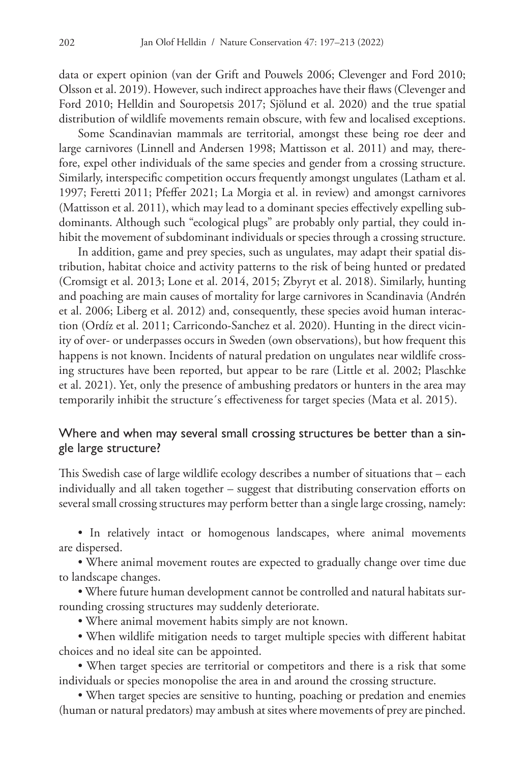data or expert opinion (van der Grift and Pouwels 2006; Clevenger and Ford 2010; Olsson et al. 2019). However, such indirect approaches have their flaws (Clevenger and Ford 2010; Helldin and Souropetsis 2017; Sjölund et al. 2020) and the true spatial distribution of wildlife movements remain obscure, with few and localised exceptions.

Some Scandinavian mammals are territorial, amongst these being roe deer and large carnivores (Linnell and Andersen 1998; Mattisson et al. 2011) and may, therefore, expel other individuals of the same species and gender from a crossing structure. Similarly, interspecific competition occurs frequently amongst ungulates (Latham et al. 1997; Feretti 2011; Pfeffer 2021; La Morgia et al. in review) and amongst carnivores (Mattisson et al. 2011), which may lead to a dominant species effectively expelling subdominants. Although such "ecological plugs" are probably only partial, they could inhibit the movement of subdominant individuals or species through a crossing structure.

In addition, game and prey species, such as ungulates, may adapt their spatial distribution, habitat choice and activity patterns to the risk of being hunted or predated (Cromsigt et al. 2013; Lone et al. 2014, 2015; Zbyryt et al. 2018). Similarly, hunting and poaching are main causes of mortality for large carnivores in Scandinavia (Andrén et al. 2006; Liberg et al. 2012) and, consequently, these species avoid human interaction (Ordíz et al. 2011; Carricondo-Sanchez et al. 2020). Hunting in the direct vicinity of over- or underpasses occurs in Sweden (own observations), but how frequent this happens is not known. Incidents of natural predation on ungulates near wildlife crossing structures have been reported, but appear to be rare (Little et al. 2002; Plaschke et al. 2021). Yet, only the presence of ambushing predators or hunters in the area may temporarily inhibit the structure´s effectiveness for target species (Mata et al. 2015).

# Where and when may several small crossing structures be better than a single large structure?

This Swedish case of large wildlife ecology describes a number of situations that – each individually and all taken together – suggest that distributing conservation efforts on several small crossing structures may perform better than a single large crossing, namely:

• In relatively intact or homogenous landscapes, where animal movements are dispersed.

• Where animal movement routes are expected to gradually change over time due to landscape changes.

• Where future human development cannot be controlled and natural habitats surrounding crossing structures may suddenly deteriorate.

• Where animal movement habits simply are not known.

• When wildlife mitigation needs to target multiple species with different habitat choices and no ideal site can be appointed.

• When target species are territorial or competitors and there is a risk that some individuals or species monopolise the area in and around the crossing structure.

• When target species are sensitive to hunting, poaching or predation and enemies (human or natural predators) may ambush at sites where movements of prey are pinched.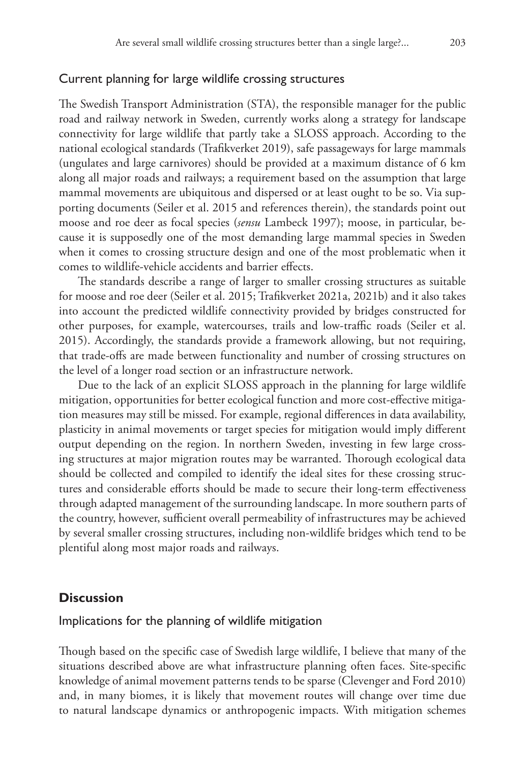#### Current planning for large wildlife crossing structures

The Swedish Transport Administration (STA), the responsible manager for the public road and railway network in Sweden, currently works along a strategy for landscape connectivity for large wildlife that partly take a SLOSS approach. According to the national ecological standards (Trafikverket 2019), safe passageways for large mammals (ungulates and large carnivores) should be provided at a maximum distance of 6 km along all major roads and railways; a requirement based on the assumption that large mammal movements are ubiquitous and dispersed or at least ought to be so. Via supporting documents (Seiler et al. 2015 and references therein), the standards point out moose and roe deer as focal species (*sensu* Lambeck 1997); moose, in particular, because it is supposedly one of the most demanding large mammal species in Sweden when it comes to crossing structure design and one of the most problematic when it comes to wildlife-vehicle accidents and barrier effects.

The standards describe a range of larger to smaller crossing structures as suitable for moose and roe deer (Seiler et al. 2015; Trafikverket 2021a, 2021b) and it also takes into account the predicted wildlife connectivity provided by bridges constructed for other purposes, for example, watercourses, trails and low-traffic roads (Seiler et al. 2015). Accordingly, the standards provide a framework allowing, but not requiring, that trade-offs are made between functionality and number of crossing structures on the level of a longer road section or an infrastructure network.

Due to the lack of an explicit SLOSS approach in the planning for large wildlife mitigation, opportunities for better ecological function and more cost-effective mitigation measures may still be missed. For example, regional differences in data availability, plasticity in animal movements or target species for mitigation would imply different output depending on the region. In northern Sweden, investing in few large crossing structures at major migration routes may be warranted. Thorough ecological data should be collected and compiled to identify the ideal sites for these crossing structures and considerable efforts should be made to secure their long-term effectiveness through adapted management of the surrounding landscape. In more southern parts of the country, however, sufficient overall permeability of infrastructures may be achieved by several smaller crossing structures, including non-wildlife bridges which tend to be plentiful along most major roads and railways.

# **Discussion**

# Implications for the planning of wildlife mitigation

Though based on the specific case of Swedish large wildlife, I believe that many of the situations described above are what infrastructure planning often faces. Site-specific knowledge of animal movement patterns tends to be sparse (Clevenger and Ford 2010) and, in many biomes, it is likely that movement routes will change over time due to natural landscape dynamics or anthropogenic impacts. With mitigation schemes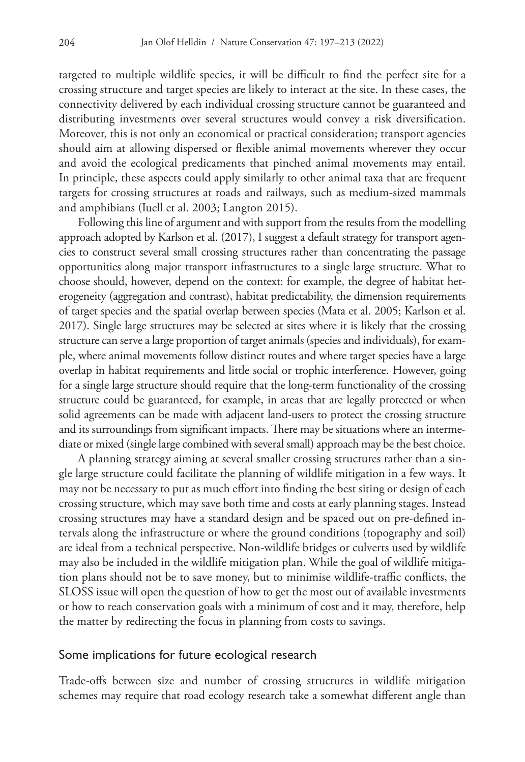targeted to multiple wildlife species, it will be difficult to find the perfect site for a crossing structure and target species are likely to interact at the site. In these cases, the connectivity delivered by each individual crossing structure cannot be guaranteed and distributing investments over several structures would convey a risk diversification. Moreover, this is not only an economical or practical consideration; transport agencies should aim at allowing dispersed or flexible animal movements wherever they occur and avoid the ecological predicaments that pinched animal movements may entail. In principle, these aspects could apply similarly to other animal taxa that are frequent targets for crossing structures at roads and railways, such as medium-sized mammals and amphibians (Iuell et al. 2003; Langton 2015).

Following this line of argument and with support from the results from the modelling approach adopted by Karlson et al. (2017), I suggest a default strategy for transport agencies to construct several small crossing structures rather than concentrating the passage opportunities along major transport infrastructures to a single large structure. What to choose should, however, depend on the context: for example, the degree of habitat heterogeneity (aggregation and contrast), habitat predictability, the dimension requirements of target species and the spatial overlap between species (Mata et al. 2005; Karlson et al. 2017). Single large structures may be selected at sites where it is likely that the crossing structure can serve a large proportion of target animals (species and individuals), for example, where animal movements follow distinct routes and where target species have a large overlap in habitat requirements and little social or trophic interference. However, going for a single large structure should require that the long-term functionality of the crossing structure could be guaranteed, for example, in areas that are legally protected or when solid agreements can be made with adjacent land-users to protect the crossing structure and its surroundings from significant impacts. There may be situations where an intermediate or mixed (single large combined with several small) approach may be the best choice.

A planning strategy aiming at several smaller crossing structures rather than a single large structure could facilitate the planning of wildlife mitigation in a few ways. It may not be necessary to put as much effort into finding the best siting or design of each crossing structure, which may save both time and costs at early planning stages. Instead crossing structures may have a standard design and be spaced out on pre-defined intervals along the infrastructure or where the ground conditions (topography and soil) are ideal from a technical perspective. Non-wildlife bridges or culverts used by wildlife may also be included in the wildlife mitigation plan. While the goal of wildlife mitigation plans should not be to save money, but to minimise wildlife-traffic conflicts, the SLOSS issue will open the question of how to get the most out of available investments or how to reach conservation goals with a minimum of cost and it may, therefore, help the matter by redirecting the focus in planning from costs to savings.

#### Some implications for future ecological research

Trade-offs between size and number of crossing structures in wildlife mitigation schemes may require that road ecology research take a somewhat different angle than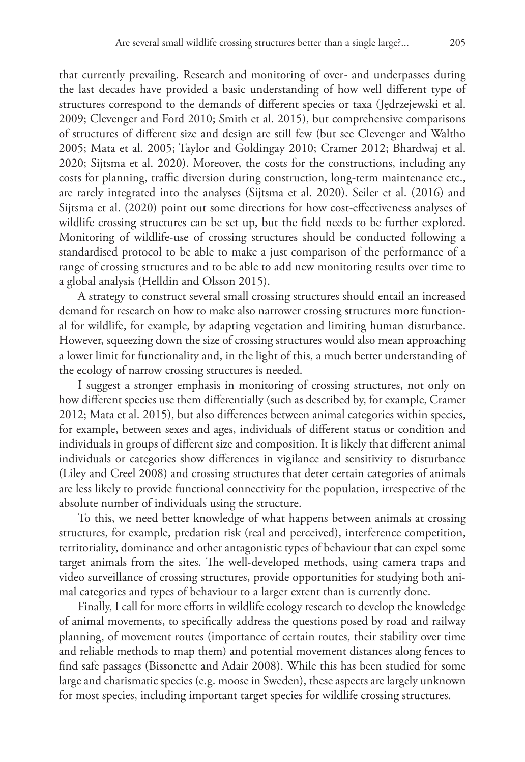that currently prevailing. Research and monitoring of over- and underpasses during the last decades have provided a basic understanding of how well different type of structures correspond to the demands of different species or taxa (Jędrzejewski et al. 2009; Clevenger and Ford 2010; Smith et al. 2015), but comprehensive comparisons of structures of different size and design are still few (but see Clevenger and Waltho 2005; Mata et al. 2005; Taylor and Goldingay 2010; Cramer 2012; Bhardwaj et al. 2020; Sijtsma et al. 2020). Moreover, the costs for the constructions, including any costs for planning, traffic diversion during construction, long-term maintenance etc., are rarely integrated into the analyses (Sijtsma et al. 2020). Seiler et al. (2016) and Sijtsma et al. (2020) point out some directions for how cost-effectiveness analyses of wildlife crossing structures can be set up, but the field needs to be further explored. Monitoring of wildlife-use of crossing structures should be conducted following a standardised protocol to be able to make a just comparison of the performance of a range of crossing structures and to be able to add new monitoring results over time to a global analysis (Helldin and Olsson 2015).

A strategy to construct several small crossing structures should entail an increased demand for research on how to make also narrower crossing structures more functional for wildlife, for example, by adapting vegetation and limiting human disturbance. However, squeezing down the size of crossing structures would also mean approaching a lower limit for functionality and, in the light of this, a much better understanding of the ecology of narrow crossing structures is needed.

I suggest a stronger emphasis in monitoring of crossing structures, not only on how different species use them differentially (such as described by, for example, Cramer 2012; Mata et al. 2015), but also differences between animal categories within species, for example, between sexes and ages, individuals of different status or condition and individuals in groups of different size and composition. It is likely that different animal individuals or categories show differences in vigilance and sensitivity to disturbance (Liley and Creel 2008) and crossing structures that deter certain categories of animals are less likely to provide functional connectivity for the population, irrespective of the absolute number of individuals using the structure.

To this, we need better knowledge of what happens between animals at crossing structures, for example, predation risk (real and perceived), interference competition, territoriality, dominance and other antagonistic types of behaviour that can expel some target animals from the sites. The well-developed methods, using camera traps and video surveillance of crossing structures, provide opportunities for studying both animal categories and types of behaviour to a larger extent than is currently done.

Finally, I call for more efforts in wildlife ecology research to develop the knowledge of animal movements, to specifically address the questions posed by road and railway planning, of movement routes (importance of certain routes, their stability over time and reliable methods to map them) and potential movement distances along fences to find safe passages (Bissonette and Adair 2008). While this has been studied for some large and charismatic species (e.g. moose in Sweden), these aspects are largely unknown for most species, including important target species for wildlife crossing structures.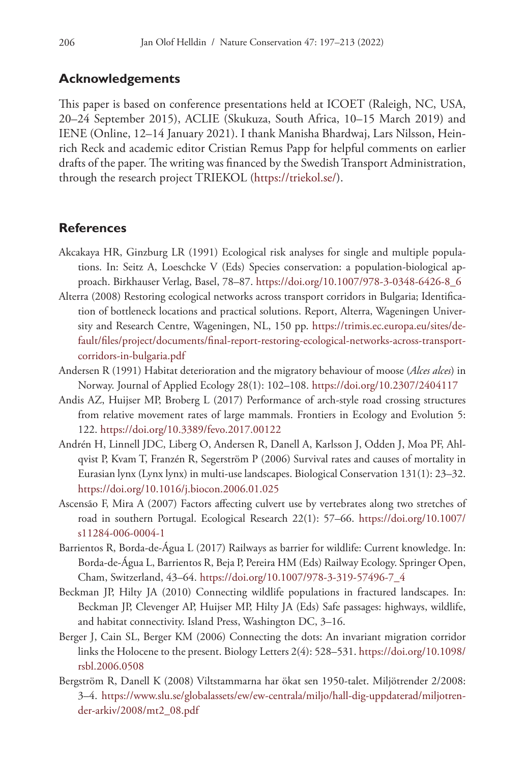# **Acknowledgements**

This paper is based on conference presentations held at ICOET (Raleigh, NC, USA, 20–24 September 2015), ACLIE (Skukuza, South Africa, 10–15 March 2019) and IENE (Online, 12–14 January 2021). I thank Manisha Bhardwaj, Lars Nilsson, Heinrich Reck and academic editor Cristian Remus Papp for helpful comments on earlier drafts of the paper. The writing was financed by the Swedish Transport Administration, through the research project TRIEKOL [\(https://triekol.se/\)](https://triekol.se/).

#### **References**

- Akcakaya HR, Ginzburg LR (1991) Ecological risk analyses for single and multiple populations. In: Seitz A, Loeschcke V (Eds) Species conservation: a population-biological approach. Birkhauser Verlag, Basel, 78–87. [https://doi.org/10.1007/978-3-0348-6426-8\\_6](https://doi.org/10.1007/978-3-0348-6426-8_6)
- Alterra (2008) Restoring ecological networks across transport corridors in Bulgaria; Identification of bottleneck locations and practical solutions. Report, Alterra, Wageningen University and Research Centre, Wageningen, NL, 150 pp. [https://trimis.ec.europa.eu/sites/de](https://trimis.ec.europa.eu/sites/default/files/project/documents/final-report-restoring-ecological-networks-across-transport-corridors-in-bulgaria.pdf)[fault/files/project/documents/final-report-restoring-ecological-networks-across-transport](https://trimis.ec.europa.eu/sites/default/files/project/documents/final-report-restoring-ecological-networks-across-transport-corridors-in-bulgaria.pdf)[corridors-in-bulgaria.pdf](https://trimis.ec.europa.eu/sites/default/files/project/documents/final-report-restoring-ecological-networks-across-transport-corridors-in-bulgaria.pdf)
- Andersen R (1991) Habitat deterioration and the migratory behaviour of moose (*Alces alces*) in Norway. Journal of Applied Ecology 28(1): 102–108.<https://doi.org/10.2307/2404117>
- Andis AZ, Huijser MP, Broberg L (2017) Performance of arch-style road crossing structures from relative movement rates of large mammals. Frontiers in Ecology and Evolution 5: 122.<https://doi.org/10.3389/fevo.2017.00122>
- Andrén H, Linnell JDC, Liberg O, Andersen R, Danell A, Karlsson J, Odden J, Moa PF, Ahlqvist P, Kvam T, Franzén R, Segerström P (2006) Survival rates and causes of mortality in Eurasian lynx (Lynx lynx) in multi-use landscapes. Biological Conservation 131(1): 23–32. <https://doi.org/10.1016/j.biocon.2006.01.025>
- Ascensão F, Mira A (2007) Factors affecting culvert use by vertebrates along two stretches of road in southern Portugal. Ecological Research 22(1): 57–66. [https://doi.org/10.1007/](https://doi.org/10.1007/s11284-006-0004-1) [s11284-006-0004-1](https://doi.org/10.1007/s11284-006-0004-1)
- Barrientos R, Borda-de-Água L (2017) Railways as barrier for wildlife: Current knowledge. In: Borda-de-Água L, Barrientos R, Beja P, Pereira HM (Eds) Railway Ecology. Springer Open, Cham, Switzerland, 43–64. [https://doi.org/10.1007/978-3-319-57496-7\\_4](https://doi.org/10.1007/978-3-319-57496-7_4)
- Beckman JP, Hilty JA (2010) Connecting wildlife populations in fractured landscapes. In: Beckman JP, Clevenger AP, Huijser MP, Hilty JA (Eds) Safe passages: highways, wildlife, and habitat connectivity. Island Press, Washington DC, 3–16.
- Berger J, Cain SL, Berger KM (2006) Connecting the dots: An invariant migration corridor links the Holocene to the present. Biology Letters 2(4): 528–531. [https://doi.org/10.1098/](https://doi.org/10.1098/rsbl.2006.0508) [rsbl.2006.0508](https://doi.org/10.1098/rsbl.2006.0508)
- Bergström R, Danell K (2008) Viltstammarna har ökat sen 1950-talet. Miljötrender 2/2008: 3–4. [https://www.slu.se/globalassets/ew/ew-centrala/miljo/hall-dig-uppdaterad/miljotren](https://www.slu.se/globalassets/ew/ew-centrala/miljo/hall-dig-uppdaterad/miljotrender-arkiv/2008/mt2_08.pdf)[der-arkiv/2008/mt2\\_08.pdf](https://www.slu.se/globalassets/ew/ew-centrala/miljo/hall-dig-uppdaterad/miljotrender-arkiv/2008/mt2_08.pdf)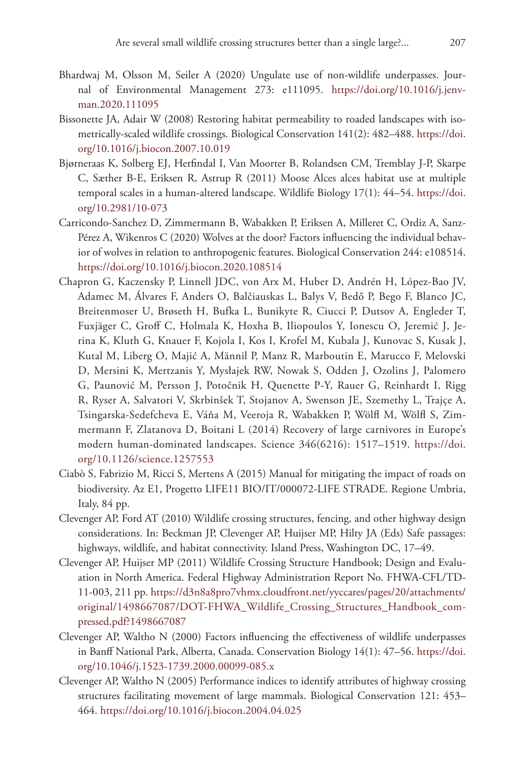- Bhardwaj M, Olsson M, Seiler A (2020) Ungulate use of non-wildlife underpasses. Journal of Environmental Management 273: e111095. [https://doi.org/10.1016/j.jenv](https://doi.org/10.1016/j.jenvman.2020.111095)[man.2020.111095](https://doi.org/10.1016/j.jenvman.2020.111095)
- Bissonette JA, Adair W (2008) Restoring habitat permeability to roaded landscapes with isometrically-scaled wildlife crossings. Biological Conservation 141(2): 482–488. [https://doi.](https://doi.org/10.1016/j.biocon.2007.10.019) [org/10.1016/j.biocon.2007.10.019](https://doi.org/10.1016/j.biocon.2007.10.019)
- Bjørneraas K, Solberg EJ, Herfindal I, Van Moorter B, Rolandsen CM, Tremblay J-P, Skarpe C, Sæther B-E, Eriksen R, Astrup R (2011) Moose Alces alces habitat use at multiple temporal scales in a human-altered landscape. Wildlife Biology 17(1): 44–54. [https://doi.](https://doi.org/10.2981/10-073) [org/10.2981/10-073](https://doi.org/10.2981/10-073)
- Carricondo-Sanchez D, Zimmermann B, Wabakken P, Eriksen A, Milleret C, Ordiz A, Sanz-Pérez A, Wikenros C (2020) Wolves at the door? Factors influencing the individual behavior of wolves in relation to anthropogenic features. Biological Conservation 244: e108514. <https://doi.org/10.1016/j.biocon.2020.108514>
- Chapron G, Kaczensky P, Linnell JDC, von Arx M, Huber D, Andrén H, López-Bao JV, Adamec M, Álvares F, Anders O, Balčiauskas L, Balys V, Bedő P, Bego F, Blanco JC, Breitenmoser U, Brøseth H, Bufka L, Bunikyte R, Ciucci P, Dutsov A, Engleder T, Fuxjäger C, Groff C, Holmala K, Hoxha B, Iliopoulos Y, Ionescu O, Jeremić J, Jerina K, Kluth G, Knauer F, Kojola I, Kos I, Krofel M, Kubala J, Kunovac S, Kusak J, Kutal M, Liberg O, Majić A, Männil P, Manz R, Marboutin E, Marucco F, Melovski D, Mersini K, Mertzanis Y, Mysłajek RW, Nowak S, Odden J, Ozolins J, Palomero G, Paunović M, Persson J, Potočnik H, Quenette P-Y, Rauer G, Reinhardt I, Rigg R, Ryser A, Salvatori V, Skrbinšek T, Stojanov A, Swenson JE, Szemethy L, Trajçe A, Tsingarska-Sedefcheva E, Váňa M, Veeroja R, Wabakken P, Wölfl M, Wölfl S, Zimmermann F, Zlatanova D, Boitani L (2014) Recovery of large carnivores in Europe's modern human-dominated landscapes. Science 346(6216): 1517–1519. [https://doi.](https://doi.org/10.1126/science.1257553) [org/10.1126/science.1257553](https://doi.org/10.1126/science.1257553)
- Ciabò S, Fabrizio M, Ricci S, Mertens A (2015) Manual for mitigating the impact of roads on biodiversity. Az E1, Progetto LIFE11 BIO/IT/000072-LIFE STRADE. Regione Umbria, Italy, 84 pp.
- Clevenger AP, Ford AT (2010) Wildlife crossing structures, fencing, and other highway design considerations. In: Beckman JP, Clevenger AP, Huijser MP, Hilty JA (Eds) Safe passages: highways, wildlife, and habitat connectivity. Island Press, Washington DC, 17–49.
- Clevenger AP, Huijser MP (2011) Wildlife Crossing Structure Handbook; Design and Evaluation in North America. Federal Highway Administration Report No. FHWA-CFL/TD-11-003, 211 pp. [https://d3n8a8pro7vhmx.cloudfront.net/yyccares/pages/20/attachments/](https://d3n8a8pro7vhmx.cloudfront.net/yyccares/pages/20/attachments/original/1498667087/DOT-FHWA_Wildlife_Crossing_Structures_Handbook_compressed.pdf?1498667087) [original/1498667087/DOT-FHWA\\_Wildlife\\_Crossing\\_Structures\\_Handbook\\_com](https://d3n8a8pro7vhmx.cloudfront.net/yyccares/pages/20/attachments/original/1498667087/DOT-FHWA_Wildlife_Crossing_Structures_Handbook_compressed.pdf?1498667087)[pressed.pdf?1498667087](https://d3n8a8pro7vhmx.cloudfront.net/yyccares/pages/20/attachments/original/1498667087/DOT-FHWA_Wildlife_Crossing_Structures_Handbook_compressed.pdf?1498667087)
- Clevenger AP, Waltho N (2000) Factors influencing the effectiveness of wildlife underpasses in Banff National Park, Alberta, Canada. Conservation Biology 14(1): 47–56. [https://doi.](https://doi.org/10.1046/j.1523-1739.2000.00099-085.x) [org/10.1046/j.1523-1739.2000.00099-085.x](https://doi.org/10.1046/j.1523-1739.2000.00099-085.x)
- Clevenger AP, Waltho N (2005) Performance indices to identify attributes of highway crossing structures facilitating movement of large mammals. Biological Conservation 121: 453– 464.<https://doi.org/10.1016/j.biocon.2004.04.025>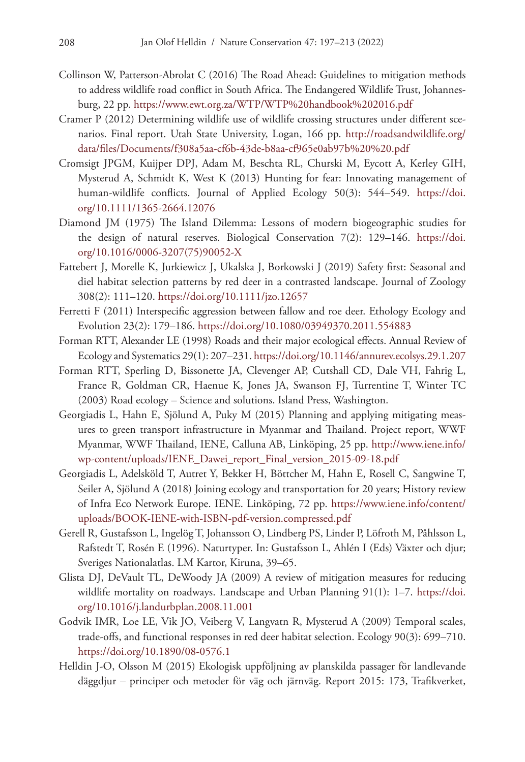- Collinson W, Patterson-Abrolat C (2016) The Road Ahead: Guidelines to mitigation methods to address wildlife road conflict in South Africa. The Endangered Wildlife Trust, Johannesburg, 22 pp.<https://www.ewt.org.za/WTP/WTP%20handbook%202016.pdf>
- Cramer P (2012) Determining wildlife use of wildlife crossing structures under different scenarios. Final report. Utah State University, Logan, 166 pp. [http://roadsandwildlife.org/](http://roadsandwildlife.org/data/files/Documents/f308a5aa-cf6b-43de-b8aa-cf965e0ab97b%20%20.pdf) [data/files/Documents/f308a5aa-cf6b-43de-b8aa-cf965e0ab97b%20%20.pdf](http://roadsandwildlife.org/data/files/Documents/f308a5aa-cf6b-43de-b8aa-cf965e0ab97b%20%20.pdf)
- Cromsigt JPGM, Kuijper DPJ, Adam M, Beschta RL, Churski M, Eycott A, Kerley GIH, Mysterud A, Schmidt K, West K (2013) Hunting for fear: Innovating management of human-wildlife conflicts. Journal of Applied Ecology 50(3): 544–549. [https://doi.](https://doi.org/10.1111/1365-2664.12076) [org/10.1111/1365-2664.12076](https://doi.org/10.1111/1365-2664.12076)
- Diamond JM (1975) The Island Dilemma: Lessons of modern biogeographic studies for the design of natural reserves. Biological Conservation 7(2): 129–146. [https://doi.](https://doi.org/10.1016/0006-3207(75)90052-X) [org/10.1016/0006-3207\(75\)90052-X](https://doi.org/10.1016/0006-3207(75)90052-X)
- Fattebert J, Morelle K, Jurkiewicz J, Ukalska J, Borkowski J (2019) Safety first: Seasonal and diel habitat selection patterns by red deer in a contrasted landscape. Journal of Zoology 308(2): 111–120. <https://doi.org/10.1111/jzo.12657>
- Ferretti F (2011) Interspecific aggression between fallow and roe deer. Ethology Ecology and Evolution 23(2): 179–186.<https://doi.org/10.1080/03949370.2011.554883>
- Forman RTT, Alexander LE (1998) Roads and their major ecological effects. Annual Review of Ecology and Systematics 29(1): 207–231.<https://doi.org/10.1146/annurev.ecolsys.29.1.207>
- Forman RTT, Sperling D, Bissonette JA, Clevenger AP, Cutshall CD, Dale VH, Fahrig L, France R, Goldman CR, Haenue K, Jones JA, Swanson FJ, Turrentine T, Winter TC (2003) Road ecology – Science and solutions. Island Press, Washington.
- Georgiadis L, Hahn E, Sjölund A, Puky M (2015) Planning and applying mitigating measures to green transport infrastructure in Myanmar and Thailand. Project report, WWF Myanmar, WWF Thailand, IENE, Calluna AB, Linköping, 25 pp. [http://www.iene.info/](http://www.iene.info/wp-content/uploads/IENE_Dawei_report_Final_version_2015-09-18.pdf) [wp-content/uploads/IENE\\_Dawei\\_report\\_Final\\_version\\_2015-09-18.pdf](http://www.iene.info/wp-content/uploads/IENE_Dawei_report_Final_version_2015-09-18.pdf)
- Georgiadis L, Adelsköld T, Autret Y, Bekker H, Böttcher M, Hahn E, Rosell C, Sangwine T, Seiler A, Sjölund A (2018) Joining ecology and transportation for 20 years; History review of Infra Eco Network Europe. IENE. Linköping, 72 pp. [https://www.iene.info/content/](https://www.iene.info/content/uploads/BOOK-IENE-with-ISBN-pdf-version.compressed.pdf) [uploads/BOOK-IENE-with-ISBN-pdf-version.compressed.pdf](https://www.iene.info/content/uploads/BOOK-IENE-with-ISBN-pdf-version.compressed.pdf)
- Gerell R, Gustafsson L, Ingelög T, Johansson O, Lindberg PS, Linder P, Löfroth M, Påhlsson L, Rafstedt T, Rosén E (1996). Naturtyper. In: Gustafsson L, Ahlén I (Eds) Växter och djur; Sveriges Nationalatlas. LM Kartor, Kiruna, 39–65.
- Glista DJ, DeVault TL, DeWoody JA (2009) A review of mitigation measures for reducing wildlife mortality on roadways. Landscape and Urban Planning 91(1): 1–7. [https://doi.](https://doi.org/10.1016/j.landurbplan.2008.11.001) [org/10.1016/j.landurbplan.2008.11.001](https://doi.org/10.1016/j.landurbplan.2008.11.001)
- Godvik IMR, Loe LE, Vik JO, Veiberg V, Langvatn R, Mysterud A (2009) Temporal scales, trade-offs, and functional responses in red deer habitat selection. Ecology 90(3): 699–710. <https://doi.org/10.1890/08-0576.1>
- Helldin J-O, Olsson M (2015) Ekologisk uppföljning av planskilda passager för landlevande däggdjur – principer och metoder för väg och järnväg. Report 2015: 173, Trafikverket,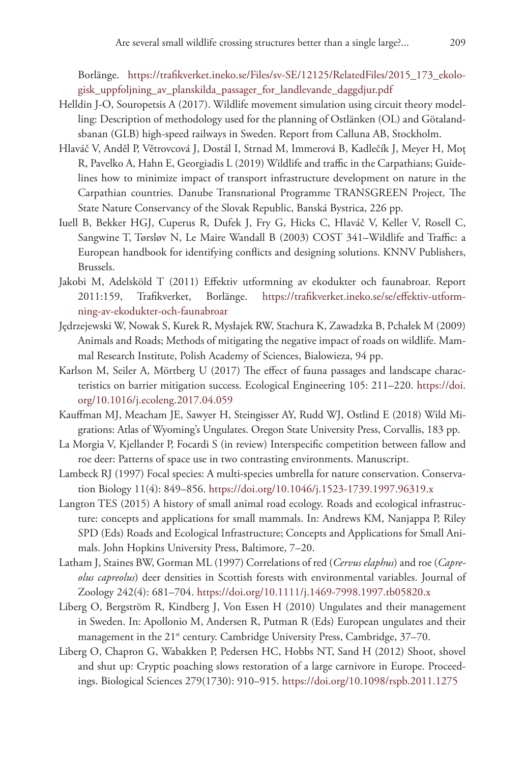Borlänge. [https://trafikverket.ineko.se/Files/sv-SE/12125/RelatedFiles/2015\\_173\\_ekolo](https://trafikverket.ineko.se/Files/sv-SE/12125/RelatedFiles/2015_173_ekologisk_uppfoljning_av_planskilda_passager_for_landlevande_daggdjur.pdf)[gisk\\_uppfoljning\\_av\\_planskilda\\_passager\\_for\\_landlevande\\_daggdjur.pdf](https://trafikverket.ineko.se/Files/sv-SE/12125/RelatedFiles/2015_173_ekologisk_uppfoljning_av_planskilda_passager_for_landlevande_daggdjur.pdf)

- Helldin J-O, Souropetsis A (2017). Wildlife movement simulation using circuit theory modelling: Description of methodology used for the planning of Ostlänken (OL) and Götalandsbanan (GLB) high-speed railways in Sweden. Report from Calluna AB, Stockholm.
- Hlaváč V, Anděl P, Větrovcová J, Dostál I, Strnad M, Immerová B, Kadlečík J, Meyer H, Moț R, Pavelko A, Hahn E, Georgiadis L (2019) Wildlife and traffic in the Carpathians; Guidelines how to minimize impact of transport infrastructure development on nature in the Carpathian countries. Danube Transnational Programme TRANSGREEN Project, The State Nature Conservancy of the Slovak Republic, Banská Bystrica, 226 pp.
- Iuell B, Bekker HGJ, Cuperus R, Dufek J, Fry G, Hicks C, Hlaváč V, Keller V, Rosell C, Sangwine T, Tørsløv N, Le Maire Wandall B (2003) COST 341–Wildlife and Traffic: a European handbook for identifying conflicts and designing solutions. KNNV Publishers, Brussels.
- Jakobi M, Adelsköld T (2011) Effektiv utformning av ekodukter och faunabroar. Report 2011:159, Trafikverket, Borlänge. [https://trafikverket.ineko.se/se/effektiv-utform](https://trafikverket.ineko.se/se/effektiv-utformning-av-ekodukter-och-faunabroar)[ning-av-ekodukter-och-faunabroar](https://trafikverket.ineko.se/se/effektiv-utformning-av-ekodukter-och-faunabroar)
- Jędrzejewski W, Nowak S, Kurek R, Mysłajek RW, Stachura K, Zawadzka B, Pchałek M (2009) Animals and Roads; Methods of mitigating the negative impact of roads on wildlife. Mammal Research Institute, Polish Academy of Sciences, Bialowieza, 94 pp.
- Karlson M, Seiler A, Mörtberg U (2017) The effect of fauna passages and landscape characteristics on barrier mitigation success. Ecological Engineering 105: 211–220. [https://doi.](https://doi.org/10.1016/j.ecoleng.2017.04.059) [org/10.1016/j.ecoleng.2017.04.059](https://doi.org/10.1016/j.ecoleng.2017.04.059)
- Kauffman MJ, Meacham JE, Sawyer H, Steingisser AY, Rudd WJ, Ostlind E (2018) Wild Migrations: Atlas of Wyoming's Ungulates. Oregon State University Press, Corvallis, 183 pp.
- La Morgia V, Kjellander P, Focardi S (in review) Interspecific competition between fallow and roe deer: Patterns of space use in two contrasting environments. Manuscript.
- Lambeck RJ (1997) Focal species: A multi-species umbrella for nature conservation. Conservation Biology 11(4): 849–856.<https://doi.org/10.1046/j.1523-1739.1997.96319.x>
- Langton TES (2015) A history of small animal road ecology. Roads and ecological infrastructure: concepts and applications for small mammals. In: Andrews KM, Nanjappa P, Riley SPD (Eds) Roads and Ecological Infrastructure; Concepts and Applications for Small Animals. John Hopkins University Press, Baltimore, 7–20.
- Latham J, Staines BW, Gorman ML (1997) Correlations of red (*Cervus elaphus*) and roe (*Capreolus capreolus*) deer densities in Scottish forests with environmental variables. Journal of Zoology 242(4): 681–704. <https://doi.org/10.1111/j.1469-7998.1997.tb05820.x>
- Liberg O, Bergström R, Kindberg J, Von Essen H (2010) Ungulates and their management in Sweden. In: Apollonio M, Andersen R, Putman R (Eds) European ungulates and their management in the 21<sup>st</sup> century. Cambridge University Press, Cambridge, 37–70.
- Liberg O, Chapron G, Wabakken P, Pedersen HC, Hobbs NT, Sand H (2012) Shoot, shovel and shut up: Cryptic poaching slows restoration of a large carnivore in Europe. Proceedings. Biological Sciences 279(1730): 910–915.<https://doi.org/10.1098/rspb.2011.1275>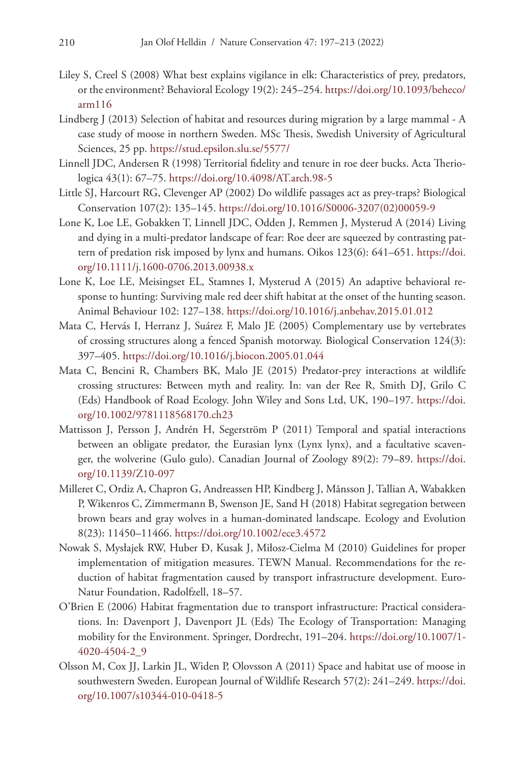- Liley S, Creel S (2008) What best explains vigilance in elk: Characteristics of prey, predators, or the environment? Behavioral Ecology 19(2): 245–254. [https://doi.org/10.1093/beheco/](https://doi.org/10.1093/beheco/arm116) [arm116](https://doi.org/10.1093/beheco/arm116)
- Lindberg J (2013) Selection of habitat and resources during migration by a large mammal A case study of moose in northern Sweden. MSc Thesis, Swedish University of Agricultural Sciences, 25 pp. <https://stud.epsilon.slu.se/5577/>
- Linnell JDC, Andersen R (1998) Territorial fidelity and tenure in roe deer bucks. Acta Theriologica 43(1): 67–75. <https://doi.org/10.4098/AT.arch.98-5>
- Little SJ, Harcourt RG, Clevenger AP (2002) Do wildlife passages act as prey-traps? Biological Conservation 107(2): 135–145. [https://doi.org/10.1016/S0006-3207\(02\)00059-9](https://doi.org/10.1016/S0006-3207(02)00059-9)
- Lone K, Loe LE, Gobakken T, Linnell JDC, Odden J, Remmen J, Mysterud A (2014) Living and dying in a multi-predator landscape of fear: Roe deer are squeezed by contrasting pattern of predation risk imposed by lynx and humans. Oikos 123(6): 641–651. [https://doi.](https://doi.org/10.1111/j.1600-0706.2013.00938.x) [org/10.1111/j.1600-0706.2013.00938.x](https://doi.org/10.1111/j.1600-0706.2013.00938.x)
- Lone K, Loe LE, Meisingset EL, Stamnes I, Mysterud A (2015) An adaptive behavioral response to hunting: Surviving male red deer shift habitat at the onset of the hunting season. Animal Behaviour 102: 127–138.<https://doi.org/10.1016/j.anbehav.2015.01.012>
- Mata C, Hervás I, Herranz J, Suárez F, Malo JE (2005) Complementary use by vertebrates of crossing structures along a fenced Spanish motorway. Biological Conservation 124(3): 397–405.<https://doi.org/10.1016/j.biocon.2005.01.044>
- Mata C, Bencini R, Chambers BK, Malo JE (2015) Predator-prey interactions at wildlife crossing structures: Between myth and reality. In: van der Ree R, Smith DJ, Grilo C (Eds) Handbook of Road Ecology. John Wiley and Sons Ltd, UK, 190–197. [https://doi.](https://doi.org/10.1002/9781118568170.ch23) [org/10.1002/9781118568170.ch23](https://doi.org/10.1002/9781118568170.ch23)
- Mattisson J, Persson J, Andrén H, Segerström P (2011) Temporal and spatial interactions between an obligate predator, the Eurasian lynx (Lynx lynx), and a facultative scavenger, the wolverine (Gulo gulo). Canadian Journal of Zoology 89(2): 79–89. [https://doi.](https://doi.org/10.1139/Z10-097) [org/10.1139/Z10-097](https://doi.org/10.1139/Z10-097)
- Milleret C, Ordiz A, Chapron G, Andreassen HP, Kindberg J, Månsson J, Tallian A, Wabakken P, Wikenros C, Zimmermann B, Swenson JE, Sand H (2018) Habitat segregation between brown bears and gray wolves in a human-dominated landscape. Ecology and Evolution 8(23): 11450–11466. <https://doi.org/10.1002/ece3.4572>
- Nowak S, Mysłajek RW, Huber Ð, Kusak J, Miłosz-Cielma M (2010) Guidelines for proper implementation of mitigation measures. TEWN Manual. Recommendations for the reduction of habitat fragmentation caused by transport infrastructure development. Euro-Natur Foundation, Radolfzell, 18–57.
- O'Brien E (2006) Habitat fragmentation due to transport infrastructure: Practical considerations. In: Davenport J, Davenport JL (Eds) The Ecology of Transportation: Managing mobility for the Environment. Springer, Dordrecht, 191–204. [https://doi.org/10.1007/1-](https://doi.org/10.1007/1-4020-4504-2_9) [4020-4504-2\\_9](https://doi.org/10.1007/1-4020-4504-2_9)
- Olsson M, Cox JJ, Larkin JL, Widen P, Olovsson A (2011) Space and habitat use of moose in southwestern Sweden. European Journal of Wildlife Research 57(2): 241–249. [https://doi.](https://doi.org/10.1007/s10344-010-0418-5) [org/10.1007/s10344-010-0418-5](https://doi.org/10.1007/s10344-010-0418-5)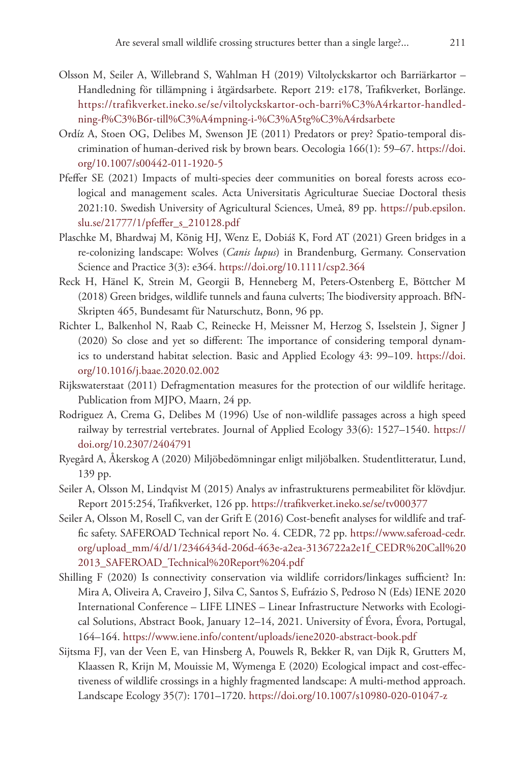- Olsson M, Seiler A, Willebrand S, Wahlman H (2019) Viltolyckskartor och Barriärkartor Handledning för tillämpning i åtgärdsarbete. Report 219: e178, Trafikverket, Borlänge. [https://trafikverket.ineko.se/se/viltolyckskartor-och-barri%C3%A4rkartor-handled](https://trafikverket.ineko.se/se/viltolyckskartor-och-barri%C3%A4rkartor-handledning-f%C3%B6r-till%C3%A4mpning-i-%C3%A5tg%C3%A4rdsarbete)[ning-f%C3%B6r-till%C3%A4mpning-i-%C3%A5tg%C3%A4rdsarbete](https://trafikverket.ineko.se/se/viltolyckskartor-och-barri%C3%A4rkartor-handledning-f%C3%B6r-till%C3%A4mpning-i-%C3%A5tg%C3%A4rdsarbete)
- Ordíz A, Stoen OG, Delibes M, Swenson JE (2011) Predators or prey? Spatio-temporal discrimination of human-derived risk by brown bears. Oecologia 166(1): 59–67. [https://doi.](https://doi.org/10.1007/s00442-011-1920-5) [org/10.1007/s00442-011-1920-5](https://doi.org/10.1007/s00442-011-1920-5)
- Pfeffer SE (2021) Impacts of multi-species deer communities on boreal forests across ecological and management scales. Acta Universitatis Agriculturae Sueciae Doctoral thesis 2021:10. Swedish University of Agricultural Sciences, Umeå, 89 pp. [https://pub.epsilon.](https://pub.epsilon.slu.se/21777/1/pfeffer_s_210128.pdf) slu.se/21777/1/pfeffer s 210128.pdf
- Plaschke M, Bhardwaj M, König HJ, Wenz E, Dobiáš K, Ford AT (2021) Green bridges in a re‐colonizing landscape: Wolves (*Canis lupus*) in Brandenburg, Germany. Conservation Science and Practice 3(3): e364.<https://doi.org/10.1111/csp2.364>
- Reck H, Hänel K, Strein M, Georgii B, Henneberg M, Peters-Ostenberg E, Böttcher M (2018) Green bridges, wildlife tunnels and fauna culverts; The biodiversity approach. BfN-Skripten 465, Bundesamt für Naturschutz, Bonn, 96 pp.
- Richter L, Balkenhol N, Raab C, Reinecke H, Meissner M, Herzog S, Isselstein J, Signer J (2020) So close and yet so different: The importance of considering temporal dynamics to understand habitat selection. Basic and Applied Ecology 43: 99–109. [https://doi.](https://doi.org/10.1016/j.baae.2020.02.002) [org/10.1016/j.baae.2020.02.002](https://doi.org/10.1016/j.baae.2020.02.002)
- Rijkswaterstaat (2011) Defragmentation measures for the protection of our wildlife heritage. Publication from MJPO, Maarn, 24 pp.
- Rodriguez A, Crema G, Delibes M (1996) Use of non-wildlife passages across a high speed railway by terrestrial vertebrates. Journal of Applied Ecology 33(6): 1527–1540. [https://](https://doi.org/10.2307/2404791) [doi.org/10.2307/2404791](https://doi.org/10.2307/2404791)
- Ryegård A, Åkerskog A (2020) Miljöbedömningar enligt miljöbalken. Studentlitteratur, Lund, 139 pp.
- Seiler A, Olsson M, Lindqvist M (2015) Analys av infrastrukturens permeabilitet för klövdjur. Report 2015:254, Trafikverket, 126 pp.<https://trafikverket.ineko.se/se/tv000377>
- Seiler A, Olsson M, Rosell C, van der Grift E (2016) Cost-benefit analyses for wildlife and traffic safety. SAFEROAD Technical report No. 4. CEDR, 72 pp. [https://www.saferoad-cedr.](https://www.saferoad-cedr.org/upload_mm/4/d/1/2346434d-206d-463e-a2ea-3136722a2e1f_CEDR%20Call%202013_SAFEROAD_Technical%20Report%204.pdf) [org/upload\\_mm/4/d/1/2346434d-206d-463e-a2ea-3136722a2e1f\\_CEDR%20Call%20](https://www.saferoad-cedr.org/upload_mm/4/d/1/2346434d-206d-463e-a2ea-3136722a2e1f_CEDR%20Call%202013_SAFEROAD_Technical%20Report%204.pdf) [2013\\_SAFEROAD\\_Technical%20Report%204.pdf](https://www.saferoad-cedr.org/upload_mm/4/d/1/2346434d-206d-463e-a2ea-3136722a2e1f_CEDR%20Call%202013_SAFEROAD_Technical%20Report%204.pdf)
- Shilling F (2020) Is connectivity conservation via wildlife corridors/linkages sufficient? In: Mira A, Oliveira A, Craveiro J, Silva C, Santos S, Eufrázio S, Pedroso N (Eds) IENE 2020 International Conference – LIFE LINES – Linear Infrastructure Networks with Ecological Solutions, Abstract Book, January 12–14, 2021. University of Évora, Évora, Portugal, 164–164. <https://www.iene.info/content/uploads/iene2020-abstract-book.pdf>
- Sijtsma FJ, van der Veen E, van Hinsberg A, Pouwels R, Bekker R, van Dijk R, Grutters M, Klaassen R, Krijn M, Mouissie M, Wymenga E (2020) Ecological impact and cost-effectiveness of wildlife crossings in a highly fragmented landscape: A multi-method approach. Landscape Ecology 35(7): 1701–1720. <https://doi.org/10.1007/s10980-020-01047-z>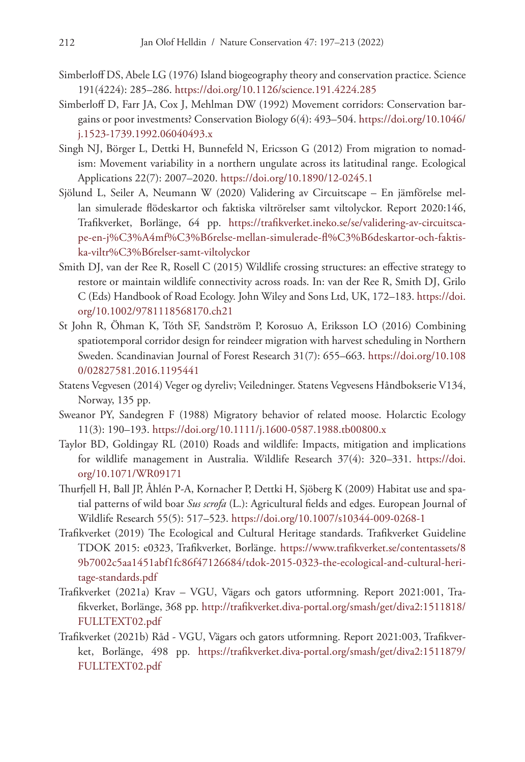- Simberloff DS, Abele LG (1976) Island biogeography theory and conservation practice. Science 191(4224): 285–286. <https://doi.org/10.1126/science.191.4224.285>
- Simberloff D, Farr JA, Cox J, Mehlman DW (1992) Movement corridors: Conservation bargains or poor investments? Conservation Biology 6(4): 493–504. [https://doi.org/10.1046/](https://doi.org/10.1046/j.1523-1739.1992.06040493.x) [j.1523-1739.1992.06040493.x](https://doi.org/10.1046/j.1523-1739.1992.06040493.x)
- Singh NJ, Börger L, Dettki H, Bunnefeld N, Ericsson G (2012) From migration to nomadism: Movement variability in a northern ungulate across its latitudinal range. Ecological Applications 22(7): 2007–2020. <https://doi.org/10.1890/12-0245.1>
- Sjölund L, Seiler A, Neumann W (2020) Validering av Circuitscape En jämförelse mellan simulerade flödeskartor och faktiska viltrörelser samt viltolyckor. Report 2020:146, Trafikverket, Borlänge, 64 pp. [https://trafikverket.ineko.se/se/validering-av-circuitsca](https://trafikverket.ineko.se/se/validering-av-circuitscape-en-j%C3%A4mf%C3%B6relse-mellan-simulerade-fl%C3%B6deskartor-och-faktiska-viltr%C3%B6relser-samt-viltolyckor)[pe-en-j%C3%A4mf%C3%B6relse-mellan-simulerade-fl%C3%B6deskartor-och-faktis](https://trafikverket.ineko.se/se/validering-av-circuitscape-en-j%C3%A4mf%C3%B6relse-mellan-simulerade-fl%C3%B6deskartor-och-faktiska-viltr%C3%B6relser-samt-viltolyckor)[ka-viltr%C3%B6relser-samt-viltolyckor](https://trafikverket.ineko.se/se/validering-av-circuitscape-en-j%C3%A4mf%C3%B6relse-mellan-simulerade-fl%C3%B6deskartor-och-faktiska-viltr%C3%B6relser-samt-viltolyckor)
- Smith DJ, van der Ree R, Rosell C (2015) Wildlife crossing structures: an effective strategy to restore or maintain wildlife connectivity across roads. In: van der Ree R, Smith DJ, Grilo C (Eds) Handbook of Road Ecology. John Wiley and Sons Ltd, UK, 172–183. [https://doi.](https://doi.org/10.1002/9781118568170.ch21) [org/10.1002/9781118568170.ch21](https://doi.org/10.1002/9781118568170.ch21)
- St John R, Öhman K, Tóth SF, Sandström P, Korosuo A, Eriksson LO (2016) Combining spatiotemporal corridor design for reindeer migration with harvest scheduling in Northern Sweden. Scandinavian Journal of Forest Research 31(7): 655–663. [https://doi.org/10.108](https://doi.org/10.1080/02827581.2016.1195441) [0/02827581.2016.1195441](https://doi.org/10.1080/02827581.2016.1195441)
- Statens Vegvesen (2014) Veger og dyreliv; Veiledninger. Statens Vegvesens Håndbokserie V134, Norway, 135 pp.
- Sweanor PY, Sandegren F (1988) Migratory behavior of related moose. Holarctic Ecology 11(3): 190–193. <https://doi.org/10.1111/j.1600-0587.1988.tb00800.x>
- Taylor BD, Goldingay RL (2010) Roads and wildlife: Impacts, mitigation and implications for wildlife management in Australia. Wildlife Research 37(4): 320–331. [https://doi.](https://doi.org/10.1071/WR09171) [org/10.1071/WR09171](https://doi.org/10.1071/WR09171)
- Thurfjell H, Ball JP, Åhlén P-A, Kornacher P, Dettki H, Sjöberg K (2009) Habitat use and spatial patterns of wild boar *Sus scrofa* (L.): Agricultural fields and edges. European Journal of Wildlife Research 55(5): 517–523.<https://doi.org/10.1007/s10344-009-0268-1>
- Trafikverket (2019) The Ecological and Cultural Heritage standards. Trafikverket Guideline TDOK 2015: e0323, Trafikverket, Borlänge. [https://www.trafikverket.se/contentassets/8](https://www.trafikverket.se/contentassets/89b7002c5aa1451abf1fc86f47126684/tdok-2015-0323-the-ecological-and-cultural-heritage-standards.pdf) [9b7002c5aa1451abf1fc86f47126684/tdok-2015-0323-the-ecological-and-cultural-heri](https://www.trafikverket.se/contentassets/89b7002c5aa1451abf1fc86f47126684/tdok-2015-0323-the-ecological-and-cultural-heritage-standards.pdf)[tage-standards.pdf](https://www.trafikverket.se/contentassets/89b7002c5aa1451abf1fc86f47126684/tdok-2015-0323-the-ecological-and-cultural-heritage-standards.pdf)
- Trafikverket (2021a) Krav VGU, Vägars och gators utformning. Report 2021:001, Trafikverket, Borlänge, 368 pp. [http://trafikverket.diva-portal.org/smash/get/diva2:1511818/](http://trafikverket.diva-portal.org/smash/get/diva2:1511818/FULLTEXT02.pdf) [FULLTEXT02.pdf](http://trafikverket.diva-portal.org/smash/get/diva2:1511818/FULLTEXT02.pdf)
- Trafikverket (2021b) Råd VGU, Vägars och gators utformning. Report 2021:003, Trafikverket, Borlänge, 498 pp. [https://trafikverket.diva-portal.org/smash/get/diva2:1511879/](https://trafikverket.diva-portal.org/smash/get/diva2:1511879/FULLTEXT02.pdf) [FULLTEXT02.pdf](https://trafikverket.diva-portal.org/smash/get/diva2:1511879/FULLTEXT02.pdf)